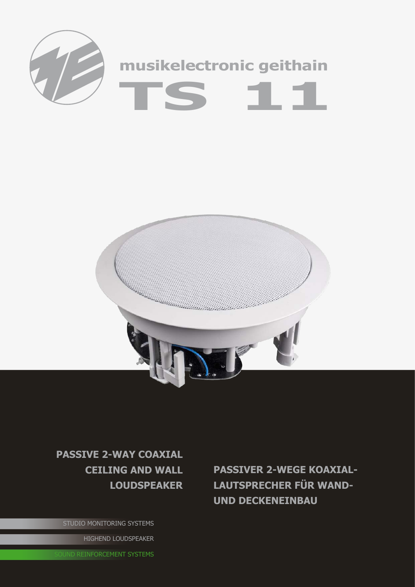



## **passive 2-way coaxial ceiling and wall loudspeaker**

STUDIO MONITORING SYSTEMS

HIGHEND LOUDSPEAKER

**OUND REINFORCEMENT SYSTEMS** 

**passiveR 2-wEGE Koaxiallautsprecher für Wandund Deckeneinbau**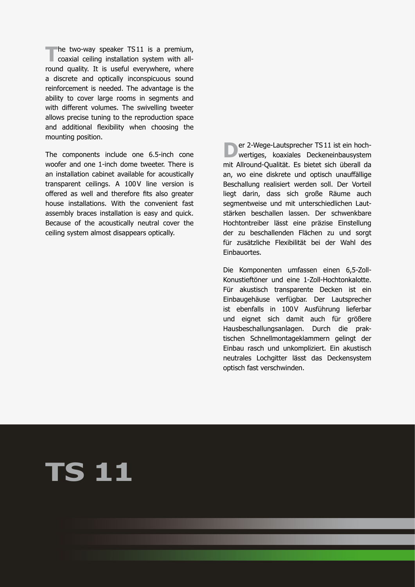**The two-way speaker TS11 is a premium,**<br>
coaxial ceiling installation system with allround quality. It is useful everywhere, where a discrete and optically inconspicuous sound reinforcement is needed. The advantage is the ability to cover large rooms in segments and with different volumes. The swivelling tweeter allows precise tuning to the reproduction space and additional flexibility when choosing the mounting position.

The components include one 6.5-inch cone woofer and one 1-inch dome tweeter. There is an installation cabinet available for acoustically transparent ceilings. A 100V line version is offered as well and therefore fits also greater house installations. With the convenient fast assembly braces installation is easy and quick. Because of the acoustically neutral cover the ceiling system almost disappears optically.

**D**er 2-Wege-Lautsprecher TS11 ist ein hoch-<br>wertiges, koaxiales Deckeneinbausystem mit Allround-Qualität. Es bietet sich überall da an, wo eine diskrete und optisch unauffällige Beschallung realisiert werden soll. Der Vorteil liegt darin, dass sich große Räume auch segmentweise und mit unterschiedlichen Lautstärken beschallen lassen. Der schwenkbare Hochtontreiber lässt eine präzise Einstellung der zu beschallenden Flächen zu und sorgt für zusätzliche Flexibilität bei der Wahl des Einbauortes.

Die Komponenten umfassen einen 6,5-Zoll-Konustieftöner und eine 1-Zoll-Hochtonkalotte. Für akustisch transparente Decken ist ein Einbaugehäuse verfügbar. Der Lautsprecher ist ebenfalls in 100V Ausführung lieferbar und eignet sich damit auch für größere Hausbeschallungsanlagen. Durch die praktischen Schnellmontageklammern gelingt der Einbau rasch und unkompliziert. Ein akustisch neutrales Lochgitter lässt das Deckensystem optisch fast verschwinden.

## **TS 11**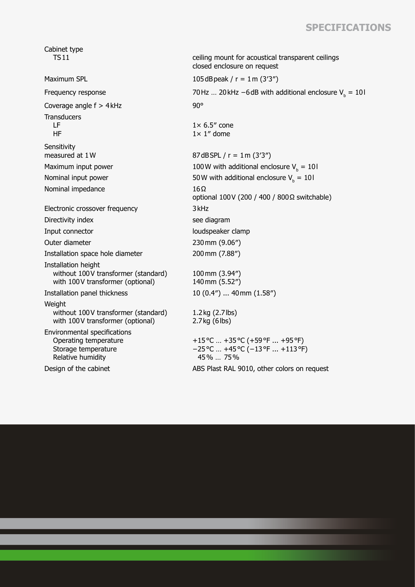## **Specifications**

Cabinet type<br>TS11 ceiling mount for acoustical transparent ceilings closed enclosure on request Maximum SPL  $105dB$ peak  $/r = 1$ m  $(3'3'')$ Frequency response  $70$  Hz … 20 kHz −6dB with additional enclosure V<sub>b</sub> = 10l Coverage angle  $f > 4kHz$  90° **Transducers**  LF HF  $1\times 6.5''$  cone  $1 \times 1$ " dome **Sensitivity** measured at  $1 \text{W}$  87dBSPL / r =  $1 \text{m} (3'3'')$ Maximum input power  $100W$  with additional enclosure  $V_{b} = 10W$ Nominal input power  $50W$  with additional enclosure  $V_{b} = 10W$ Nominal impedance 16Ω optional 100V (200 / 400 / 800Ω switchable) Electronic crossover frequency 3kHz Directivity index see diagram Input connector loudspeaker clamp Outer diameter 230mm (9.06″) Installation space hole diameter 200mm (7.88″) Installation height without 100V transformer (standard) with 100V transformer (optional) 100mm (3.94″) 140mm (5.52″) Installation panel thickness 10 (0.4″) ... 40mm (1.58″) Weight without 100V transformer (standard) with 100V transformer (optional) 1.2kg (2.7lbs) 2.7kg (6lbs) Environmental specifications Operating temperature Storage temperature Relative humidity +15°C … +35°C (+59°F ... +95°F) −25°C … +45°C (−13°F ... +113°F) 45% … 75% Design of the cabinet ABS Plast RAL 9010, other colors on request